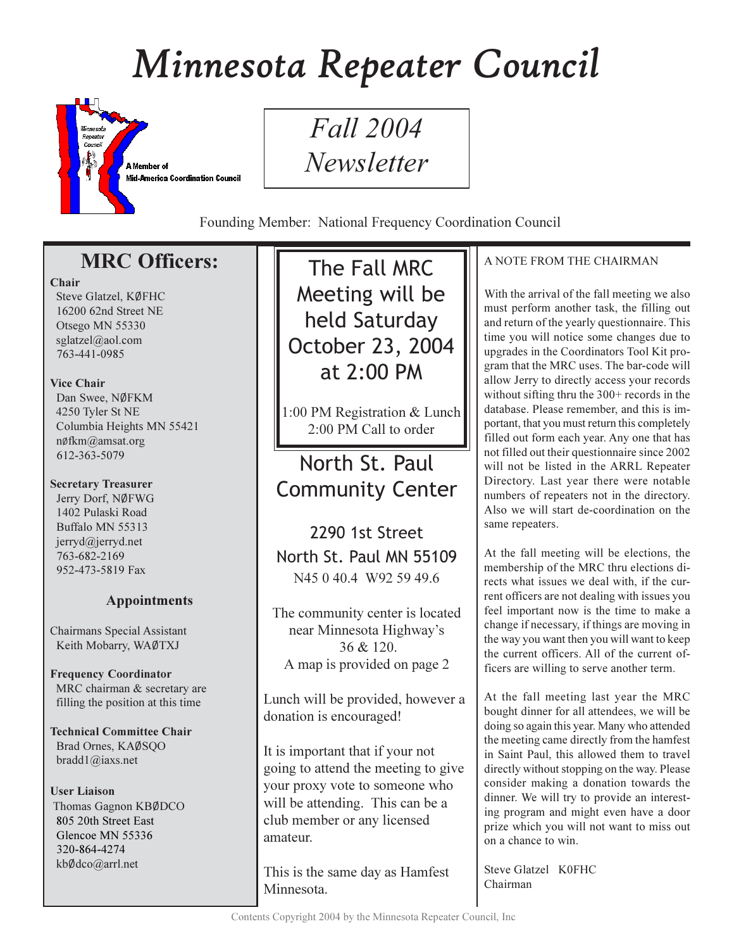# Minnesota Repeater Council



*Fall* 2004 Newsletter

Founding Member: National Frequency Coordination Council

# **MRC Officers:**

#### Chair

Steve Glatzel, KØFHC 16200 62nd Street NE Otsego MN 55330 sglatzel@aol.com 763-441-0985

### **Vice Chair**

Dan Swee, NØFKM 4250 Tyler St NE Columbia Heights MN 55421 nøfkm@amsat.org 612-363-5079

### **Secretary Treasurer**

Jerry Dorf, NØFWG 1402 Pulaski Road Buffalo MN 55313 jerryd@jerryd.net 763-682-2169 952-473-5819 Fax

## **Appointments**

**Chairmans Special Assistant** Keith Mobarry, WAØTXJ

**Frequency Coordinator** MRC chairman & secretary are filling the position at this time

**Technical Committee Chair** Brad Ornes, KAØSQO bradd $1$ @iaxs.net

### **User Liaison**

Thomas Gagnon KBØDCO 805 20th Street East Glencoe MN 55336 320-864-4274 kbØdco@arrl.net

The Fall MRC Meeting will be held Saturday October 23, 2004 at  $2:00$  PM

1:00 PM Registration & Lunch 2:00 PM Call to order

North St. Paul **Community Center** 

2290 1st Street North St. Paul MN 55109 N45 0 40.4 W92 59 49.6

The community center is located near Minnesota Highway's 36 & 120. A map is provided on page 2

Lunch will be provided, however a donation is encouraged!

It is important that if your not going to attend the meeting to give your proxy vote to someone who will be attending. This can be a club member or any licensed amateur.

This is the same day as Hamfest Minnesota.

## A NOTE FROM THE CHAIRMAN

With the arrival of the fall meeting we also must perform another task, the filling out and return of the yearly questionnaire. This time you will notice some changes due to upgrades in the Coordinators Tool Kit program that the MRC uses. The bar-code will allow Jerry to directly access your records without sifting thru the  $300+$  records in the database. Please remember, and this is important, that you must return this completely filled out form each year. Any one that has not filled out their questionnaire since 2002 will not be listed in the ARRL Repeater Directory. Last year there were notable numbers of repeaters not in the directory. Also we will start de-coordination on the same repeaters.

At the fall meeting will be elections, the membership of the MRC thru elections directs what issues we deal with, if the current officers are not dealing with issues you feel important now is the time to make a change if necessary, if things are moving in the way you want then you will want to keep the current officers. All of the current officers are willing to serve another term.

At the fall meeting last year the MRC bought dinner for all attendees, we will be doing so again this year. Many who attended the meeting came directly from the hamfest in Saint Paul, this allowed them to travel directly without stopping on the way. Please consider making a donation towards the dinner. We will try to provide an interesting program and might even have a door prize which you will not want to miss out on a chance to win.

Steve Glatzel K0FHC Chairman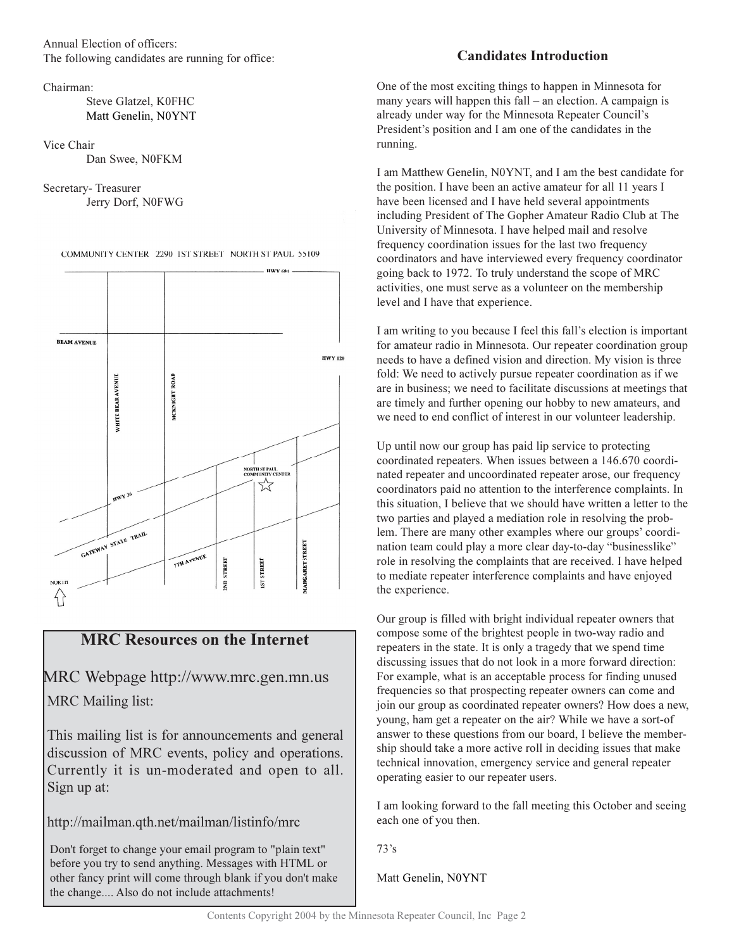Annual Election of officers: The following candidates are running for office:

Chairman<sup>.</sup>

Steve Glatzel, K0FHC Matt Genelin, N0YNT

Vice Chair

Dan Swee, N0FKM

Secretary-Treasurer Jerry Dorf, N0FWG

COMMUNITY CENTER 2290 IST STREET NORTH ST PAUL 55109



## **MRC Resources on the Internet**

MRC Webpage http://www.mrc.gen.mn.us **MRC** Mailing list:

This mailing list is for announcements and general discussion of MRC events, policy and operations. Currently it is un-moderated and open to all. Sign up at:

http://mailman.qth.net/mailman/listinfo/mrc

Don't forget to change your email program to "plain text" before you try to send anything. Messages with HTML or other fancy print will come through blank if you don't make the change.... Also do not include attachments!

## **Candidates Introduction**

One of the most exciting things to happen in Minnesota for many years will happen this  $fall - an election$ . A campaign is already under way for the Minnesota Repeater Council's President's position and I am one of the candidates in the running.

I am Matthew Genelin, N0YNT, and I am the best candidate for the position. I have been an active amateur for all 11 years I have been licensed and I have held several appointments including President of The Gopher Amateur Radio Club at The University of Minnesota. I have helped mail and resolve frequency coordination issues for the last two frequency coordinators and have interviewed every frequency coordinator going back to 1972. To truly understand the scope of MRC activities, one must serve as a volunteer on the membership level and I have that experience.

I am writing to you because I feel this fall's election is important for amateur radio in Minnesota. Our repeater coordination group needs to have a defined vision and direction. My vision is three fold: We need to actively pursue repeater coordination as if we are in business; we need to facilitate discussions at meetings that are timely and further opening our hobby to new amateurs, and we need to end conflict of interest in our volunteer leadership.

Up until now our group has paid lip service to protecting coordinated repeaters. When issues between a 146.670 coordinated repeater and uncoordinated repeater arose, our frequency coordinators paid no attention to the interference complaints. In this situation. I believe that we should have written a letter to the two parties and played a mediation role in resolving the problem. There are many other examples where our groups' coordination team could play a more clear day-to-day "businesslike" role in resolving the complaints that are received. I have helped to mediate repeater interference complaints and have enjoyed the experience.

Our group is filled with bright individual repeater owners that compose some of the brightest people in two-way radio and repeaters in the state. It is only a tragedy that we spend time discussing issues that do not look in a more forward direction: For example, what is an acceptable process for finding unused frequencies so that prospecting repeater owners can come and join our group as coordinated repeater owners? How does a new, young, ham get a repeater on the air? While we have a sort-of answer to these questions from our board, I believe the membership should take a more active roll in deciding issues that make technical innovation, emergency service and general repeater operating easier to our repeater users.

I am looking forward to the fall meeting this October and seeing each one of you then.

 $73's$ 

Matt Genelin, N0YNT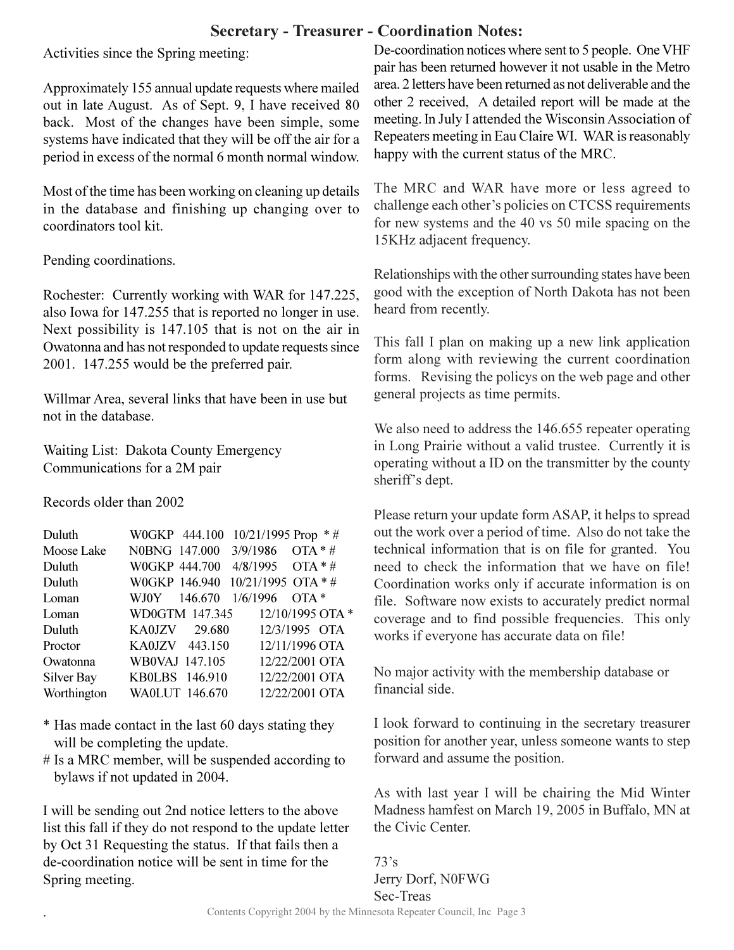## **Secretary - Treasurer - Coordination Notes:**

Activities since the Spring meeting:

Approximately 155 annual update requests where mailed out in late August. As of Sept. 9, I have received 80 back. Most of the changes have been simple, some systems have indicated that they will be off the air for a period in excess of the normal 6 month normal window.

Most of the time has been working on cleaning up details in the database and finishing up changing over to coordinators tool kit.

Pending coordinations.

Rochester: Currently working with WAR for 147.225, also Iowa for 147.255 that is reported no longer in use. Next possibility is 147.105 that is not on the air in Owatonna and has not responded to update requests since 2001. 147.255 would be the preferred pair.

Willmar Area, several links that have been in use but not in the database.

Waiting List: Dakota County Emergency Communications for a 2M pair

Records older than 2002

| Duluth      | W0GKP 444.100         |         | $10/21/1995$ Prop $*$ # |        |  |
|-------------|-----------------------|---------|-------------------------|--------|--|
| Moose Lake  | N0BNG 147.000         |         | $3/9/1986$ OTA * #      |        |  |
| Duluth      | W0GKP 444.700         |         | $4/8/1995$ OTA * #      |        |  |
| Duluth      | W0GKP 146.940         |         | $10/21/1995$ OTA * #    |        |  |
| Loman       | WJ0Y —                | 146.670 | 1/6/1996                | $OTA*$ |  |
| Loman       | WD0GTM 147.345        |         | 12/10/1995 OTA *        |        |  |
| Duluth      | KA0JZV 29.680         |         | 12/3/1995 OTA           |        |  |
| Proctor     | KA0JZV 443.150        |         | 12/11/1996 OTA          |        |  |
| Owatonna    | WB0VAJ 147.105        |         | 12/22/2001 OTA          |        |  |
| Silver Bay  | KB0LBS 146.910        |         | 12/22/2001 OTA          |        |  |
| Worthington | <b>WA0LUT 146.670</b> |         | 12/22/2001 OTA          |        |  |

- \* Has made contact in the last 60 days stating they will be completing the update.
- $#$  Is a MRC member, will be suspended according to bylaws if not updated in 2004.

I will be sending out 2nd notice letters to the above list this fall if they do not respond to the update letter by Oct 31 Requesting the status. If that fails then a de-coordination notice will be sent in time for the Spring meeting.

De-coordination notices where sent to 5 people. One VHF pair has been returned however it not usable in the Metro area. 2 letters have been returned as not deliverable and the other 2 received. A detailed report will be made at the meeting. In July I attended the Wisconsin Association of Repeaters meeting in Eau Claire WI. WAR is reasonably happy with the current status of the MRC.

The MRC and WAR have more or less agreed to challenge each other's policies on CTCSS requirements for new systems and the 40 vs 50 mile spacing on the 15KHz adjacent frequency.

Relationships with the other surrounding states have been good with the exception of North Dakota has not been heard from recently.

This fall I plan on making up a new link application form along with reviewing the current coordination forms. Revising the policys on the web page and other general projects as time permits.

We also need to address the 146.655 repeater operating in Long Prairie without a valid trustee. Currently it is operating without a ID on the transmitter by the county sheriff's dept.

Please return your update form ASAP, it helps to spread out the work over a period of time. Also do not take the technical information that is on file for granted. You need to check the information that we have on file! Coordination works only if accurate information is on file. Software now exists to accurately predict normal coverage and to find possible frequencies. This only works if everyone has accurate data on file!

No major activity with the membership database or financial side.

I look forward to continuing in the secretary treasurer position for another year, unless someone wants to step forward and assume the position.

As with last year I will be chairing the Mid Winter Madness hamfest on March 19, 2005 in Buffalo, MN at the Civic Center

 $73's$ Jerry Dorf, N0FWG Sec-Treas Contents Copyright 2004 by the Minnesota Repeater Council, Inc Page 3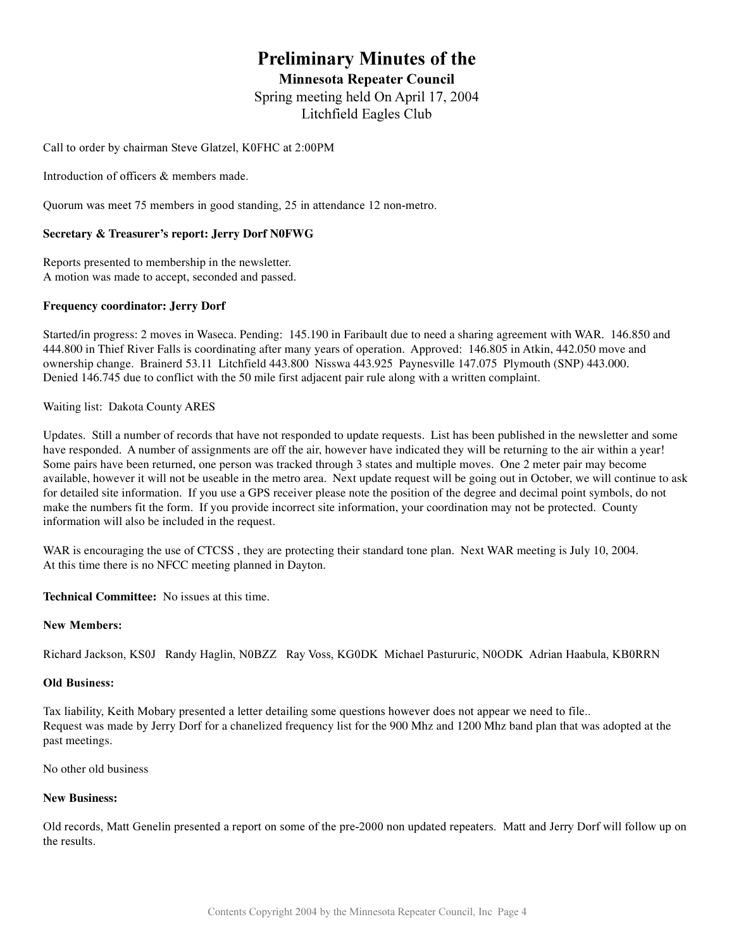## **Preliminary Minutes of the**

**Minnesota Repeater Council** 

Spring meeting held On April 17, 2004 Litchfield Eagles Club

Call to order by chairman Steve Glatzel, K0FHC at 2:00PM

Introduction of officers & members made.

Quorum was meet 75 members in good standing, 25 in attendance 12 non-metro.

#### **Secretary & Treasurer's report: Jerry Dorf N0FWG**

Reports presented to membership in the newsletter. A motion was made to accept, seconded and passed.

#### **Frequency coordinator: Jerry Dorf**

Started/in progress: 2 moves in Waseca. Pending: 145.190 in Faribault due to need a sharing agreement with WAR. 146.850 and 444.800 in Thief River Falls is coordinating after many years of operation. Approved: 146.805 in Atkin, 442.050 move and ownership change. Brainerd 53.11 Litchfield 443.800 Nisswa 443.925 Paynesville 147.075 Plymouth (SNP) 443.000. Denied 146.745 due to conflict with the 50 mile first adjacent pair rule along with a written complaint.

Waiting list: Dakota County ARES

Updates. Still a number of records that have not responded to update requests. List has been published in the newsletter and some have responded. A number of assignments are off the air, however have indicated they will be returning to the air within a year! Some pairs have been returned, one person was tracked through 3 states and multiple moves. One 2 meter pair may become available, however it will not be useable in the metro area. Next update request will be going out in October, we will continue to ask for detailed site information. If you use a GPS receiver please note the position of the degree and decimal point symbols, do not make the numbers fit the form. If you provide incorrect site information, your coordination may not be protected. County information will also be included in the request.

WAR is encouraging the use of CTCSS, they are protecting their standard tone plan. Next WAR meeting is July 10, 2004. At this time there is no NFCC meeting planned in Dayton.

**Technical Committee:** No issues at this time.

#### **New Members:**

Richard Jackson, KS0J Randy Haglin, N0BZZ Ray Voss, KG0DK Michael Pastururic, N0ODK Adrian Haabula, KB0RRN

#### **Old Business:**

Tax liability, Keith Mobary presented a letter detailing some questions however does not appear we need to file. Request was made by Jerry Dorf for a chanelized frequency list for the 900 Mhz and 1200 Mhz band plan that was adopted at the past meetings.

No other old business

#### **New Business:**

Old records, Matt Genelin presented a report on some of the pre-2000 non updated repeaters. Matt and Jerry Dorf will follow up on the results.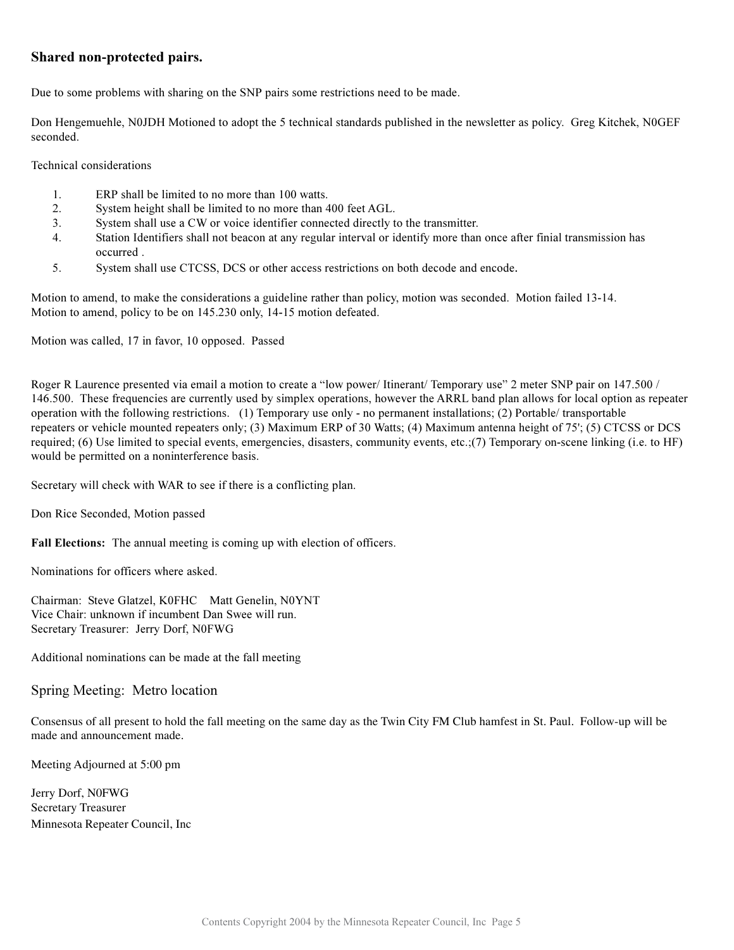#### Shared non-protected pairs.

Due to some problems with sharing on the SNP pairs some restrictions need to be made.

Don Hengemuehle, N0JDH Motioned to adopt the 5 technical standards published in the newsletter as policy. Greg Kitchek, N0GEF seconded.

Technical considerations

- $\overline{1}$ . ERP shall be limited to no more than 100 watts.
- $\overline{2}$ . System height shall be limited to no more than 400 feet AGL.
- System shall use a CW or voice identifier connected directly to the transmitter.  $\overline{3}$ .
- Station Identifiers shall not beacon at any regular interval or identify more than once after finial transmission has  $\overline{4}$ . occurred.
- 5. System shall use CTCSS, DCS or other access restrictions on both decode and encode.

Motion to amend, to make the considerations a guideline rather than policy, motion was seconded. Motion failed 13-14. Motion to amend, policy to be on 145.230 only, 14-15 motion defeated.

Motion was called, 17 in favor, 10 opposed. Passed

Roger R Laurence presented via email a motion to create a "low power/ Itinerant/ Temporary use" 2 meter SNP pair on 147.500 / 146.500. These frequencies are currently used by simplex operations, however the ARRL band plan allows for local option as repeater operation with the following restrictions. (1) Temporary use only - no permanent installations; (2) Portable/ transportable repeaters or vehicle mounted repeaters only; (3) Maximum ERP of 30 Watts; (4) Maximum antenna height of 75'; (5) CTCSS or DCS required; (6) Use limited to special events, emergencies, disasters, community events, etc.; (7) Temporary on-scene linking (i.e. to HF) would be permitted on a noninterference basis.

Secretary will check with WAR to see if there is a conflicting plan.

Don Rice Seconded, Motion passed

Fall Elections: The annual meeting is coming up with election of officers.

Nominations for officers where asked.

Chairman: Steve Glatzel, K0FHC Matt Genelin, N0YNT Vice Chair: unknown if incumbent Dan Swee will run. Secretary Treasurer: Jerry Dorf, N0FWG

Additional nominations can be made at the fall meeting

Spring Meeting: Metro location

Consensus of all present to hold the fall meeting on the same day as the Twin City FM Club hamfest in St. Paul. Follow-up will be made and announcement made.

Meeting Adjourned at 5:00 pm

Jerry Dorf, N0FWG **Secretary Treasurer** Minnesota Repeater Council, Inc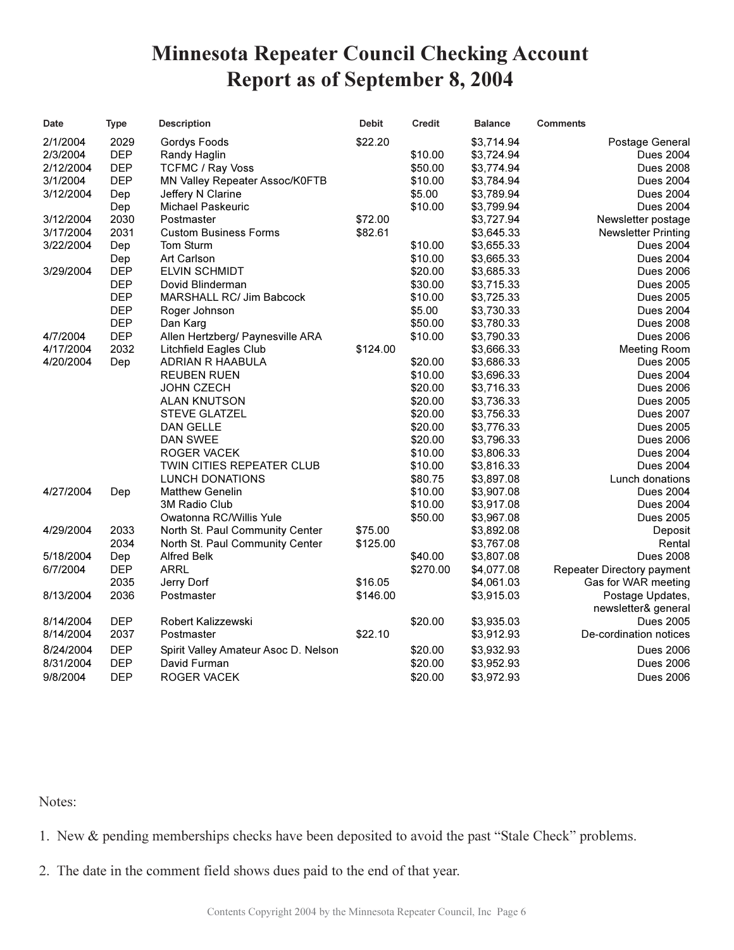## **Minnesota Repeater Council Checking Account Report as of September 8, 2004**

| Date      | <b>Type</b> | <b>Description</b>                   | <b>Debit</b> | <b>Credit</b> | <b>Balance</b> | <b>Comments</b>            |
|-----------|-------------|--------------------------------------|--------------|---------------|----------------|----------------------------|
| 2/1/2004  | 2029        | Gordys Foods                         | \$22.20      |               | \$3,714.94     | Postage General            |
| 2/3/2004  | <b>DEP</b>  | Randy Haglin                         |              | \$10.00       | \$3,724.94     | <b>Dues 2004</b>           |
| 2/12/2004 | <b>DEP</b>  | <b>TCFMC / Ray Voss</b>              |              | \$50.00       | \$3,774.94     | <b>Dues 2008</b>           |
| 3/1/2004  | <b>DEP</b>  | MN Valley Repeater Assoc/K0FTB       |              | \$10.00       | \$3,784.94     | <b>Dues 2004</b>           |
| 3/12/2004 | Dep         | Jeffery N Clarine                    |              | \$5.00        | \$3,789.94     | <b>Dues 2004</b>           |
|           | Dep         | <b>Michael Paskeuric</b>             |              | \$10.00       | \$3,799.94     | <b>Dues 2004</b>           |
| 3/12/2004 | 2030        | Postmaster                           | \$72.00      |               | \$3,727.94     | Newsletter postage         |
| 3/17/2004 | 2031        | <b>Custom Business Forms</b>         | \$82.61      |               | \$3,645.33     | <b>Newsletter Printing</b> |
| 3/22/2004 | Dep         | Tom Sturm                            |              | \$10.00       | \$3,655.33     | Dues 2004                  |
|           | Dep         | Art Carlson                          |              | \$10.00       | \$3,665.33     | <b>Dues 2004</b>           |
| 3/29/2004 | <b>DEP</b>  | <b>ELVIN SCHMIDT</b>                 |              | \$20.00       | \$3,685.33     | <b>Dues 2006</b>           |
|           | <b>DEP</b>  | Dovid Blinderman                     |              | \$30.00       | \$3,715.33     | <b>Dues 2005</b>           |
|           | <b>DEP</b>  | MARSHALL RC/ Jim Babcock             |              | \$10.00       | \$3,725.33     | <b>Dues 2005</b>           |
|           | <b>DEP</b>  | Roger Johnson                        |              | \$5.00        | \$3,730.33     | <b>Dues 2004</b>           |
|           | <b>DEP</b>  | Dan Karg                             |              | \$50.00       | \$3,780.33     | Dues 2008                  |
| 4/7/2004  | <b>DEP</b>  | Allen Hertzberg/ Paynesville ARA     |              | \$10.00       | \$3,790.33     | <b>Dues 2006</b>           |
| 4/17/2004 | 2032        | <b>Litchfield Eagles Club</b>        | \$124.00     |               | \$3,666.33     | <b>Meeting Room</b>        |
| 4/20/2004 | Dep         | ADRIAN R HAABULA                     |              | \$20.00       | \$3,686.33     | <b>Dues 2005</b>           |
|           |             | <b>REUBEN RUEN</b>                   |              | \$10.00       | \$3,696.33     | <b>Dues 2004</b>           |
|           |             | JOHN CZECH                           |              | \$20.00       | \$3,716.33     | <b>Dues 2006</b>           |
|           |             | ALAN KNUTSON                         |              | \$20.00       | \$3,736.33     | <b>Dues 2005</b>           |
|           |             | <b>STEVE GLATZEL</b>                 |              | \$20.00       | \$3,756.33     | <b>Dues 2007</b>           |
|           |             | DAN GELLE                            |              | \$20.00       | \$3,776.33     | <b>Dues 2005</b>           |
|           |             | DAN SWEE                             |              | \$20.00       | \$3,796.33     | <b>Dues 2006</b>           |
|           |             | <b>ROGER VACEK</b>                   |              | \$10.00       | \$3,806.33     | <b>Dues 2004</b>           |
|           |             | TWIN CITIES REPEATER CLUB            |              | \$10.00       | \$3,816.33     | <b>Dues 2004</b>           |
|           |             | LUNCH DONATIONS                      |              | \$80.75       | \$3,897.08     | Lunch donations            |
| 4/27/2004 | Dep         | <b>Matthew Genelin</b>               |              | \$10.00       | \$3,907.08     | <b>Dues 2004</b>           |
|           |             | 3M Radio Club                        |              | \$10.00       | \$3,917.08     | <b>Dues 2004</b>           |
|           |             | Owatonna RC/Willis Yule              |              | \$50.00       | \$3,967.08     | <b>Dues 2005</b>           |
| 4/29/2004 | 2033        | North St. Paul Community Center      | \$75.00      |               | \$3,892.08     | Deposit                    |
|           | 2034        | North St. Paul Community Center      | \$125.00     |               | \$3,767.08     | Rental                     |
| 5/18/2004 | Dep         | <b>Alfred Belk</b>                   |              | \$40.00       | \$3,807.08     | <b>Dues 2008</b>           |
| 6/7/2004  | <b>DEP</b>  | ARRL                                 |              | \$270.00      | \$4,077.08     | Repeater Directory payment |
|           | 2035        | Jerry Dorf                           | \$16.05      |               | \$4,061.03     | Gas for WAR meeting        |
| 8/13/2004 | 2036        | Postmaster                           | \$146.00     |               | \$3,915.03     | Postage Updates,           |
|           |             |                                      |              |               |                | newsletter& general        |
| 8/14/2004 | <b>DEP</b>  | Robert Kalizzewski                   |              | \$20.00       | \$3,935.03     | <b>Dues 2005</b>           |
| 8/14/2004 | 2037        | Postmaster                           | \$22.10      |               | \$3,912.93     | De-cordination notices     |
| 8/24/2004 | <b>DEP</b>  | Spirit Valley Amateur Asoc D. Nelson |              | \$20.00       | \$3,932.93     | <b>Dues 2006</b>           |
| 8/31/2004 | <b>DEP</b>  | David Furman                         |              | \$20.00       | \$3,952.93     | <b>Dues 2006</b>           |
| 9/8/2004  | <b>DEP</b>  | ROGER VACEK                          |              | \$20.00       | \$3,972.93     | <b>Dues 2006</b>           |
|           |             |                                      |              |               |                |                            |

Notes:

1. New & pending memberships checks have been deposited to avoid the past "Stale Check" problems.

2. The date in the comment field shows dues paid to the end of that year.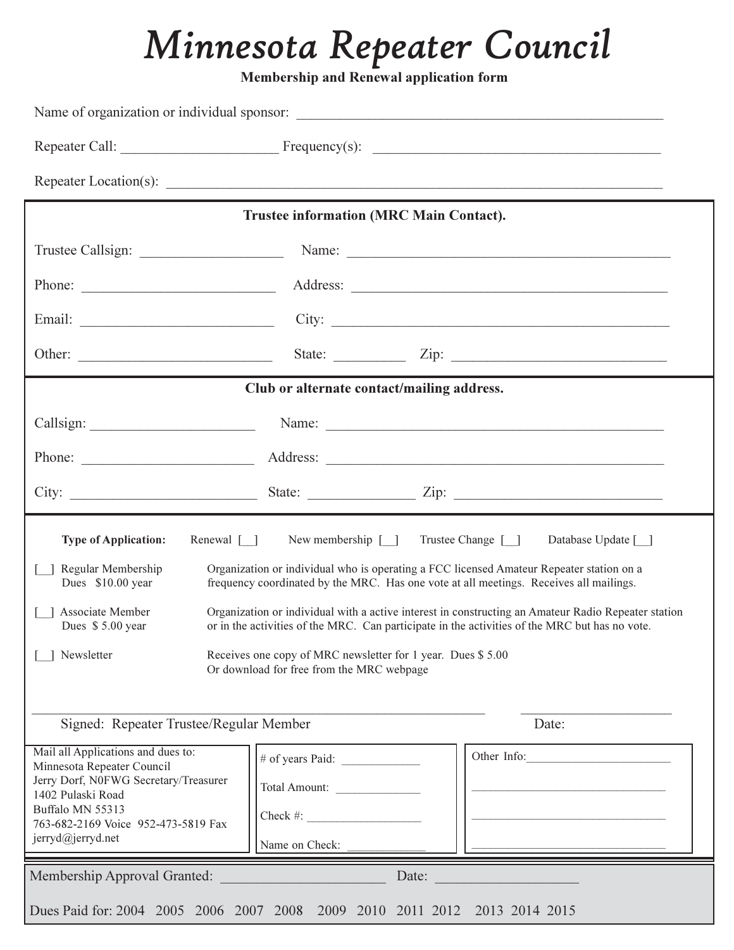# Minnesota Repeater Council

Membership and Renewal application form

|                                                                                                                                                                                                                                               | Trustee information (MRC Main Contact).                                          |                                           |  |  |
|-----------------------------------------------------------------------------------------------------------------------------------------------------------------------------------------------------------------------------------------------|----------------------------------------------------------------------------------|-------------------------------------------|--|--|
|                                                                                                                                                                                                                                               |                                                                                  |                                           |  |  |
|                                                                                                                                                                                                                                               | Phone:                                                                           |                                           |  |  |
|                                                                                                                                                                                                                                               |                                                                                  | City: $\qquad \qquad$                     |  |  |
|                                                                                                                                                                                                                                               |                                                                                  | State: $\angle$ Zip: $\angle$             |  |  |
|                                                                                                                                                                                                                                               | Club or alternate contact/mailing address.                                       |                                           |  |  |
|                                                                                                                                                                                                                                               |                                                                                  |                                           |  |  |
|                                                                                                                                                                                                                                               |                                                                                  |                                           |  |  |
|                                                                                                                                                                                                                                               |                                                                                  |                                           |  |  |
| <b>Type of Application:</b><br>Renewal [ ]                                                                                                                                                                                                    | New membership $[\ ]$                                                            | Trustee Change [ ]<br>Database Update [ ] |  |  |
| Regular Membership<br>Organization or individual who is operating a FCC licensed Amateur Repeater station on a<br>Dues \$10.00 year<br>frequency coordinated by the MRC. Has one vote at all meetings. Receives all mailings.                 |                                                                                  |                                           |  |  |
| Associate Member<br>Organization or individual with a active interest in constructing an Amateur Radio Repeater station<br>or in the activities of the MRC. Can participate in the activities of the MRC but has no vote.<br>Dues \$5.00 year |                                                                                  |                                           |  |  |
| Newsletter<br>Receives one copy of MRC newsletter for 1 year. Dues \$5.00<br>Or download for free from the MRC webpage                                                                                                                        |                                                                                  |                                           |  |  |
| Signed: Repeater Trustee/Regular Member<br>Date:                                                                                                                                                                                              |                                                                                  |                                           |  |  |
| Mail all Applications and dues to:<br>Minnesota Repeater Council<br>Jerry Dorf, N0FWG Secretary/Treasurer<br>1402 Pulaski Road<br>Buffalo MN 55313<br>763-682-2169 Voice 952-473-5819 Fax<br>jerryd@jerryd.net                                | # of years Paid: $\frac{1}{2}$<br>Total Amount:<br>$Check \#:$<br>Name on Check: | Other Info:                               |  |  |
| Membership Approval Granted:<br>Date:                                                                                                                                                                                                         |                                                                                  |                                           |  |  |
| Dues Paid for: 2004 2005 2006 2007 2008 2009 2010 2011 2012 2013 2014 2015                                                                                                                                                                    |                                                                                  |                                           |  |  |